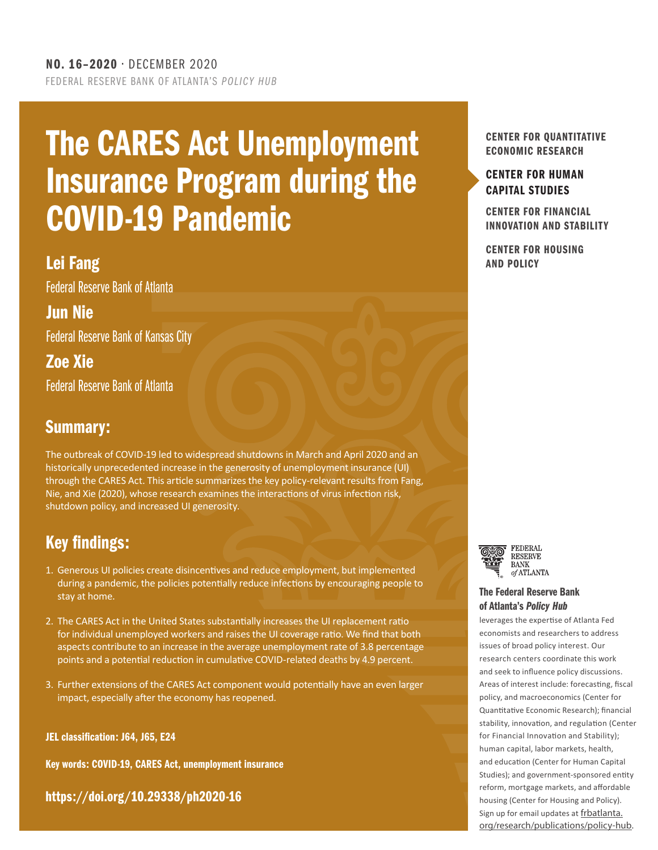## The CARES Act Unemployment Insurance Program during the COVID-19 Pandemic

## Lei Fang And Policy and Contract Contract Contract Contract Contract Contract Contract Contract Contract Contract Contract Contract Contract Contract Contract Contract Contract Contract Contract Contract Contract Contract

Federal Reserve Bank of Atlanta

## Jun Nie

Federal Reserve Bank of Kansas City

Zoe Xie Federal Reserve Bank of Atlanta

### Summary:

The outbreak of COVID-19 led to widespread shutdowns in March and April 2020 and an historically unprecedented increase in the generosity of unemployment insurance (UI) through the CARES Act. This article summarizes the key policy-relevant results from Fang, Nie, and Xie (2020), whose research examines the interactions of virus infection risk, shutdown policy, and increased UI generosity.

## Key findings:

- 1. Generous UI policies create disincentives and reduce employment, but implemented during a pandemic, the policies potentially reduce infections by encouraging people to stay at home.
- 2. The CARES Act in the United States substantially increases the UI replacement ratio for individual unemployed workers and raises the UI coverage ratio. We find that both aspects contribute to an increase in the average unemployment rate of 3.8 percentage points and a potential reduction in cumulative COVID-related deaths by 4.9 percent.
- 3. Further extensions of the CARES Act component would potentially have an even larger impact, especially after the economy has reopened.

JEL classification: J64, J65, E24

Key words: COVID-19, CARES Act, unemployment insurance

[https://doi.org/10.29338/ph2020-16](https://doi.org/10.29338/ph2020-09 )

#### CENTER FOR QUANTITATIVE ECONOMIC RESEARCH

#### [CENTER FOR HUMAN](https://www.frbatlanta.org/chcs) [CAPITAL STUDIES](https://www.frbatlanta.org/chcs#:~:text=The%20Center%20for%20Human%20Capital,and%20outside%20the%20Atlanta%20Fed.)

CENTER FOR FINANCIAL [INNOVATION AND STABILITY](https://www.frbatlanta.org/cenfis.aspx)

CENTER FOR HOUSING





#### [The Federal Reserve Bank](http://frbatlanta.org/research/publications/policy-hub.aspx) of Atlanta's *Policy Hub*

leverages the expertise of Atlanta Fed economists and researchers to address issues of broad policy interest. Our research centers coordinate this work and seek to influence policy discussions. Areas of interest include: forecasting, fiscal policy, and macroeconomics (Center for Quantitative Economic Research); financial stability, innovation, and regulation (Center for Financial Innovation and Stability); human capital, labor markets, health, and education (Center for Human Capital Studies); and government-sponsored entity reform, mortgage markets, and affordable housing (Center for Housing and Policy). Sign up for email updates at [frbatlanta.](https://frbatlanta.org/research/publications/policy-hub.aspx) [org/research/publications/policy-hub.](https://frbatlanta.org/research/publications/policy-hub.aspx)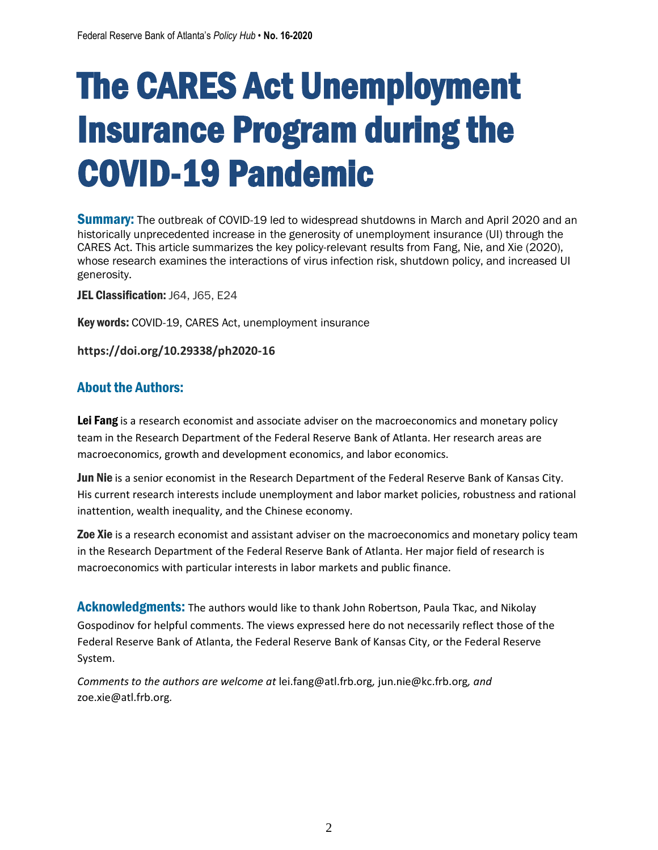# The CARES Act Unemployment Insurance Program during the COVID-19 Pandemic

**Summary:** The outbreak of COVID-19 led to widespread shutdowns in March and April 2020 and an historically unprecedented increase in the generosity of unemployment insurance (UI) through the CARES Act. This article summarizes the key policy-relevant results from Fang, Nie, and Xie (2020), whose research examines the interactions of virus infection risk, shutdown policy, and increased UI generosity.

JEL Classification: J64, J65, E24

Key words: COVID-19, CARES Act, unemployment insurance

**https://doi.org/10.29338/ph2020-16**

#### About the Authors:

Lei Fang is a research economist and associate adviser on the macroeconomics and monetary policy team in the Research Department of the Federal Reserve Bank of Atlanta. Her research areas are macroeconomics, growth and development economics, and labor economics.

Jun Nie is a senior economist in the Research Department of the Federal Reserve Bank of Kansas City. His current research interests include unemployment and labor market policies, robustness and rational inattention, wealth inequality, and the Chinese economy.

**Zoe Xie** is a research economist and assistant adviser on the macroeconomics and monetary policy team in the Research Department of the Federal Reserve Bank of Atlanta. Her major field of research is macroeconomics with particular interests in labor markets and public finance.

Acknowledgments: The authors would like to thank John Robertson, Paula Tkac, and Nikolay Gospodinov for helpful comments. The views expressed here do not necessarily reflect those of the Federal Reserve Bank of Atlanta, the Federal Reserve Bank of Kansas City, or the Federal Reserve System.

*Comments to the authors are welcome at* lei.fang@atl.frb.org*,* jun.nie@kc.frb.org*, and* zoe.xie@atl.frb.org*.*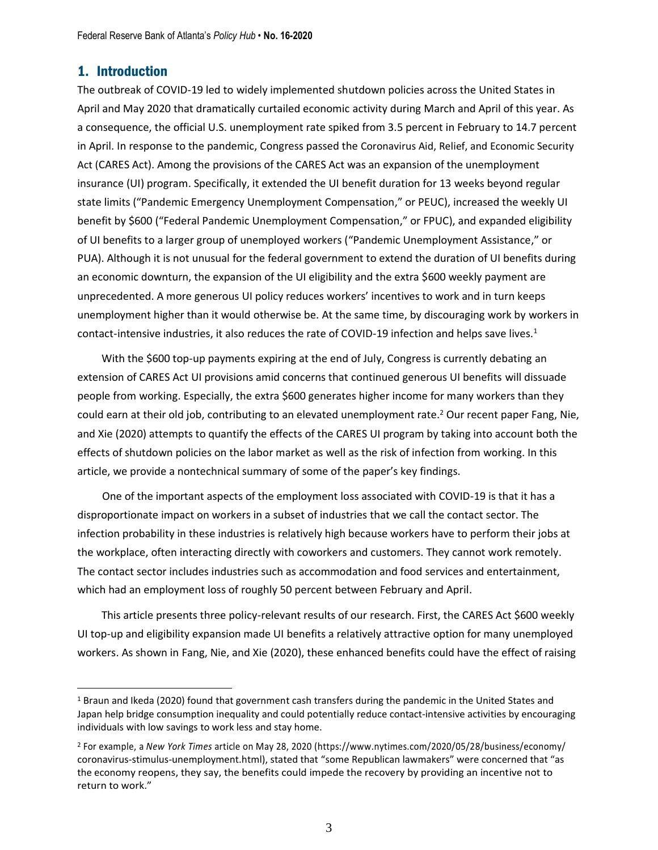#### 1. Introduction

The outbreak of COVID-19 led to widely implemented shutdown policies across the United States in April and May 2020 that dramatically curtailed economic activity during March and April of this year. As a consequence, the official U.S. unemployment rate spiked from 3.5 percent in February to 14.7 percent in April. In response to the pandemic, Congress passed the Coronavirus Aid, Relief, and Economic Security Act (CARES Act). Among the provisions of the CARES Act was an expansion of the unemployment insurance (UI) program. Specifically, it extended the UI benefit duration for 13 weeks beyond regular state limits ("Pandemic Emergency Unemployment Compensation," or PEUC), increased the weekly UI benefit by \$600 ("Federal Pandemic Unemployment Compensation," or FPUC), and expanded eligibility of UI benefits to a larger group of unemployed workers ("Pandemic Unemployment Assistance," or PUA). Although it is not unusual for the federal government to extend the duration of UI benefits during an economic downturn, the expansion of the UI eligibility and the extra \$600 weekly payment are unprecedented. A more generous UI policy reduces workers' incentives to work and in turn keeps unemployment higher than it would otherwise be. At the same time, by discouraging work by workers in contact-intensive industries, it also reduces the rate of COVID-19 infection and helps save lives.<sup>1</sup>

With the \$600 top-up payments expiring at the end of July, Congress is currently debating an extension of CARES Act UI provisions amid concerns that continued generous UI benefits will dissuade people from working. Especially, the extra \$600 generates higher income for many workers than they could earn at their old job, contributing to an elevated unemployment rate.<sup>2</sup> Our recent paper Fang, Nie, [and Xie \(](https://www.frbatlanta.org/research/publications/wp/2020/07/31/13-unemployment-insurance-during-a-pandemic.aspx)[2020\)](#page-6-0) attempts to quantify the effects of the CARES UI program by taking into account both the effects of shutdown policies on the labor market as well as the risk of infection from working. In this article, we provide a nontechnical summary of some of the paper's key findings.

One of the important aspects of the employment loss associated with COVID-19 is that it has a disproportionate impact on workers in a subset of industries that we call the contact sector. The infection probability in these industries is relatively high because workers have to perform their jobs at the workplace, often interacting directly with coworkers and customers. They cannot work remotely. The contact sector includes industries such as accommodation and food services and entertainment, which had an employment loss of roughly 50 percent between February and April.

This article presents three policy-relevant results of our research. First, the CARES Act \$600 weekly UI top-up and eligibility expansion made UI benefits a relatively attractive option for many unemployed workers. As shown in Fang, Nie, and Xie [\(2020\)](#page-6-0), these enhanced benefits could have the effect of raising

<sup>&</sup>lt;sup>1</sup> Braun and Ikeda (2020) found that government cash transfers during the pandemic in the United States and Japan help bridge consumption inequality and could potentially reduce contact-intensive activities by encouraging individuals with low savings to work less and stay home.

<sup>2</sup> For example, a *New York Times* article on May 28, 2020 [\(https://www.nytimes.com/2020/05/28/business/economy/](https://www.nytimes.com/2020/05/28/business/economy/coronavirus-stimulus-unemployment.html) [coronavirus-stimulus-unemployment.html\)](https://www.nytimes.com/2020/05/28/business/economy/coronavirus-stimulus-unemployment.html), stated that "some Republican lawmakers" were concerned that "as the economy reopens, they say, the benefits could impede the recovery by providing an incentive not to return to work."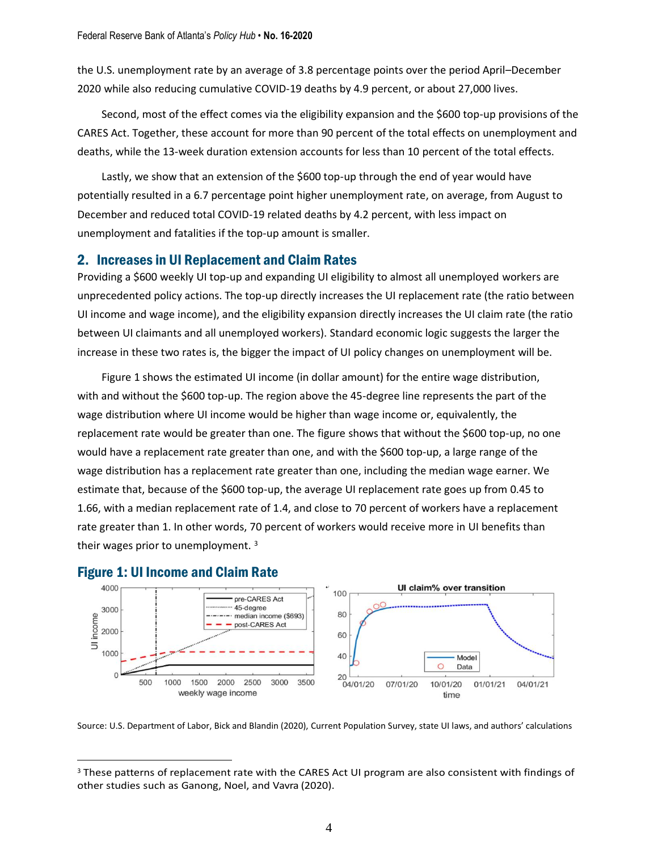the U.S. unemployment rate by an average of 3.8 percentage points over the period April–December 2020 while also reducing cumulative COVID-19 deaths by 4.9 percent, or about 27,000 lives.

Second, most of the effect comes via the eligibility expansion and the \$600 top-up provisions of the CARES Act. Together, these account for more than 90 percent of the total effects on unemployment and deaths, while the 13-week duration extension accounts for less than 10 percent of the total effects.

Lastly, we show that an extension of the \$600 top-up through the end of year would have potentially resulted in a 6.7 percentage point higher unemployment rate, on average, from August to December and reduced total COVID-19 related deaths by 4.2 percent, with less impact on unemployment and fatalities if the top-up amount is smaller.

#### 2. Increases in UI Replacement and Claim Rates

Providing a \$600 weekly UI top-up and expanding UI eligibility to almost all unemployed workers are unprecedented policy actions. The top-up directly increases the UI replacement rate (the ratio between UI income and wage income), and the eligibility expansion directly increases the UI claim rate (the ratio between UI claimants and all unemployed workers). Standard economic logic suggests the larger the increase in these two rates is, the bigger the impact of UI policy changes on unemployment will be.

Figure 1 shows the estimated UI income (in dollar amount) for the entire wage distribution, with and without the \$600 top-up. The region above the 45-degree line represents the part of the wage distribution where UI income would be higher than wage income or, equivalently, the replacement rate would be greater than one. The figure shows that without the \$600 top-up, no one would have a replacement rate greater than one, and with the \$600 top-up, a large range of the wage distribution has a replacement rate greater than one, including the median wage earner. We estimate that, because of the \$600 top-up, the average UI replacement rate goes up from 0.45 to 1.66, with a median replacement rate of 1.4, and close to 70 percent of workers have a replacement rate greater than 1. In other words, 70 percent of workers would receive more in UI benefits than their wages prior to unemployment.  $3$ 



#### Figure 1: UI Income and Claim Rate

Source: U.S. Department of Labor, Bick and Blandin (2020), Current Population Survey, state UI laws, and authors' calculations

<sup>&</sup>lt;sup>3</sup> These patterns of replacement rate with the CARES Act UI program are also consistent with findings of other studies such as [Ganong,](#page-6-1) Noel, and Vavra [\(2020\)](#page-6-1).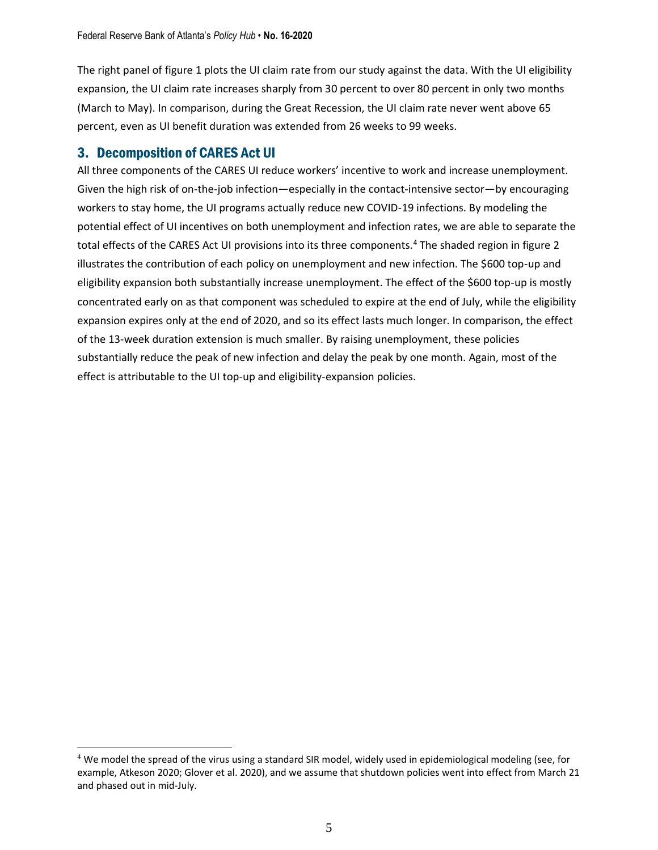The right panel of figure 1 plots the UI claim rate from our study against the data. With the UI eligibility expansion, the UI claim rate increases sharply from 30 percent to over 80 percent in only two months (March to May). In comparison, during the Great Recession, the UI claim rate never went above 65 percent, even as UI benefit duration was extended from 26 weeks to 99 weeks.

#### 3. Decomposition of CARES Act UI

All three components of the CARES UI reduce workers' incentive to work and increase unemployment. Given the high risk of on-the-job infection—especially in the contact-intensive sector—by encouraging workers to stay home, the UI programs actually reduce new COVID-19 infections. By modeling the potential effect of UI incentives on both unemployment and infection rates, we are able to separate the total effects of the CARES Act UI provisions into its three components.<sup>4</sup> The shaded region in figure 2 illustrates the contribution of each policy on unemployment and new infection. The \$600 top-up and eligibility expansion both substantially increase unemployment. The effect of the \$600 top-up is mostly concentrated early on as that component was scheduled to expire at the end of July, while the eligibility expansion expires only at the end of 2020, and so its effect lasts much longer. In comparison, the effect of the 13-week duration extension is much smaller. By raising unemployment, these policies substantially reduce the peak of new infection and delay the peak by one month. Again, most of the effect is attributable to the UI top-up and eligibility-expansion policies.

<sup>4</sup> We model the spread of the virus using a standard SIR model, widely used in epidemiological modeling (see, for example, Atkeson 2020; Glover et al. 2020), and we assume that shutdown policies went into effect from March 21 and phased out in mid-July.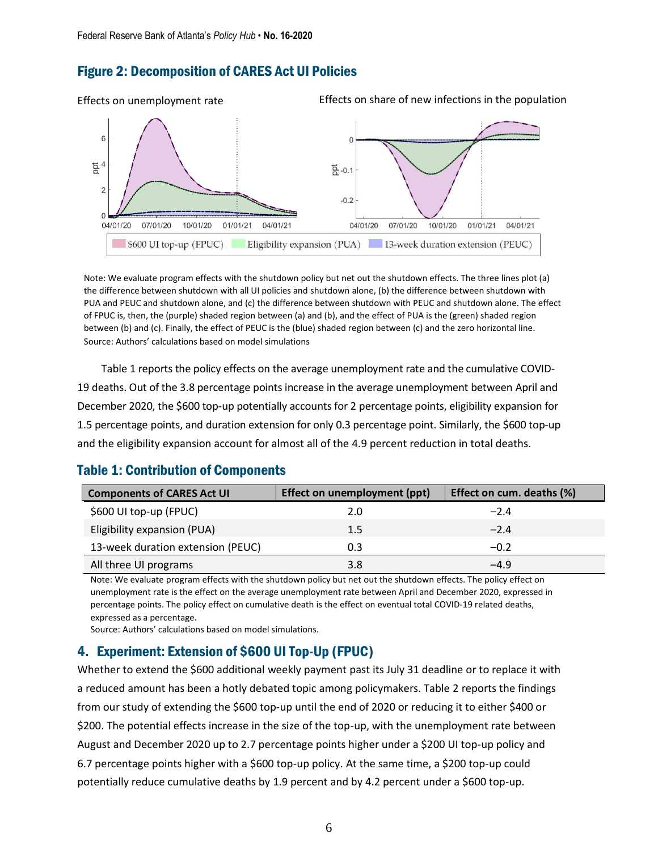#### Figure 2: Decomposition of CARES Act UI Policies



Note: We evaluate program effects with the shutdown policy but net out the shutdown effects. The three lines plot (a) the difference between shutdown with all UI policies and shutdown alone, (b) the difference between shutdown with PUA and PEUC and shutdown alone, and (c) the difference between shutdown with PEUC and shutdown alone. The effect of FPUC is, then, the (purple) shaded region between (a) and (b), and the effect of PUA is the (green) shaded region between (b) and (c). Finally, the effect of PEUC is the (blue) shaded region between (c) and the zero horizontal line. Source: Authors' calculations based on model simulations

Table 1 reports the policy effects on the average unemployment rate and the cumulative COVID-19 deaths. Out of the 3.8 percentage points increase in the average unemployment between April and December 2020, the \$600 top-up potentially accounts for 2 percentage points, eligibility expansion for 1.5 percentage points, and duration extension for only 0.3 percentage point. Similarly, the \$600 top-up and the eligibility expansion account for almost all of the 4.9 percent reduction in total deaths.

#### Table 1: Contribution of Components

| <b>Components of CARES Act UI</b> | Effect on unemployment (ppt) | Effect on cum. deaths (%) |
|-----------------------------------|------------------------------|---------------------------|
| \$600 UI top-up (FPUC)            | 2.0                          | $-2.4$                    |
| Eligibility expansion (PUA)       | $1.5\,$                      | $-2.4$                    |
| 13-week duration extension (PEUC) | 0.3                          | $-0.2$                    |
| All three UI programs             | 3.8                          | $-4.9$                    |

Note: We evaluate program effects with the shutdown policy but net out the shutdown effects. The policy effect on unemployment rate is the effect on the average unemployment rate between April and December 2020, expressed in percentage points. The policy effect on cumulative death is the effect on eventual total COVID-19 related deaths, expressed as a percentage.

Source: Authors' calculations based on model simulations.

#### 4. Experiment: Extension of \$600 UI Top-Up (FPUC)

Whether to extend the \$600 additional weekly payment past its July 31 deadline or to replace it with a reduced amount has been a hotly debated topic among policymakers. Table 2 reports the findings from our study of extending the \$600 top-up until the end of 2020 or reducing it to either \$400 or \$200. The potential effects increase in the size of the top-up, with the unemployment rate between August and December 2020 up to 2.7 percentage points higher under a \$200 UI top-up policy and 6.7 percentage points higher with a \$600 top-up policy. At the same time, a \$200 top-up could potentially reduce cumulative deaths by 1.9 percent and by 4.2 percent under a \$600 top-up.